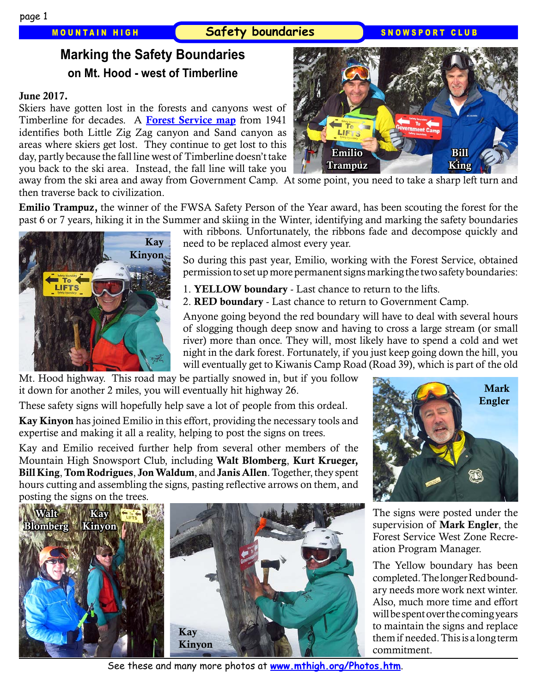### MOUNTAIN HIGH **Safety boundaries** SNOWSPORT CLUB

# **Marking the Safety Boundaries on Mt. Hood - west of Timberline**

#### June 2017.

Skiers have gotten lost in the forests and canyons west of Timberline for decades. A [Forest Service map](http://www.mthigh.org/Articles/Mt-Hood-Trail-Skiing-Glade-Trail-Day.pdf) from 1941 identifies both Little Zig Zag canyon and Sand canyon as areas where skiers get lost. They continue to get lost to this day, partly because the fall line west of Timberline doesn't take you back to the ski area. Instead, the fall line will take you



away from the ski area and away from Government Camp. At some point, you need to take a sharp left turn and then traverse back to civilization.

Emilio Trampuz, the winner of the FWSA Safety Person of the Year award, has been scouting the forest for the past 6 or 7 years, hiking it in the Summer and skiing in the Winter, identifying and marking the safety boundaries



with ribbons. Unfortunately, the ribbons fade and decompose quickly and need to be replaced almost every year.

So during this past year, Emilio, working with the Forest Service, obtained permission to set up more permanent signs marking the two safety boundaries:

- 1. YELLOW boundary Last chance to return to the lifts.
- 2. RED boundary Last chance to return to Government Camp.

Anyone going beyond the red boundary will have to deal with several hours of slogging though deep snow and having to cross a large stream (or small river) more than once. They will, most likely have to spend a cold and wet night in the dark forest. Fortunately, if you just keep going down the hill, you will eventually get to Kiwanis Camp Road (Road 39), which is part of the old

Mt. Hood highway. This road may be partially snowed in, but if you follow it down for another 2 miles, you will eventually hit highway 26.

These safety signs will hopefully help save a lot of people from this ordeal.

Kay Kinyon has joined Emilio in this effort, providing the necessary tools and expertise and making it all a reality, helping to post the signs on trees.

Kay and Emilio received further help from several other members of the Mountain High Snowsport Club, including Walt Blomberg, Kurt Krueger, Bill King, Tom Rodrigues, Jon Waldum, and Janis Allen. Together, they spent hours cutting and assembling the signs, pasting reflective arrows on them, and posting the signs on the trees.



Mark Engler

The signs were posted under the supervision of **Mark Engler**, the Forest Service West Zone Recreation Program Manager.

The Yellow boundary has been completed. The longer Red boundary needs more work next winter. Also, much more time and effort will be spent over the coming years to maintain the signs and replace them if needed. This is a long term commitment.

See these and many more photos at **[www.mthigh.org/Photos.htm](http://www.mthigh.org/Photos.htm)**.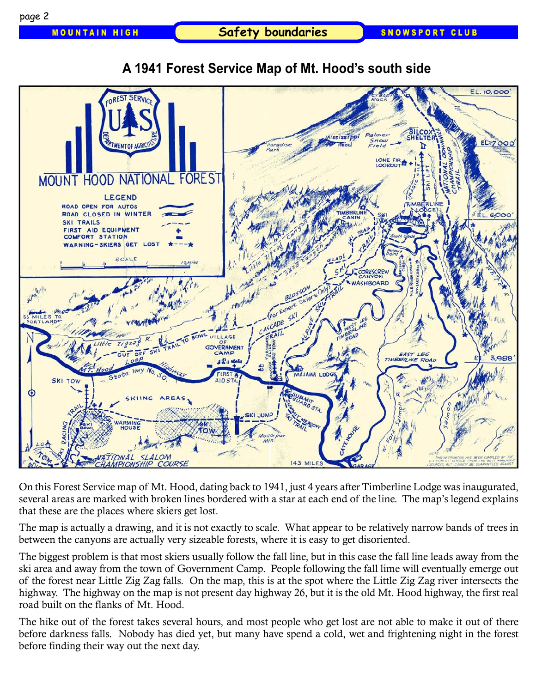

## **A 1941 Forest Service Map of Mt. Hood's south side**

On this Forest Service map of Mt. Hood, dating back to 1941, just 4 years after Timberline Lodge was inaugurated, several areas are marked with broken lines bordered with a star at each end of the line. The map's legend explains that these are the places where skiers get lost.

The map is actually a drawing, and it is not exactly to scale. What appear to be relatively narrow bands of trees in between the canyons are actually very sizeable forests, where it is easy to get disoriented.

The biggest problem is that most skiers usually follow the fall line, but in this case the fall line leads away from the ski area and away from the town of Government Camp. People following the fall lime will eventually emerge out of the forest near Little Zig Zag falls. On the map, this is at the spot where the Little Zig Zag river intersects the highway. The highway on the map is not present day highway 26, but it is the old Mt. Hood highway, the first real road built on the flanks of Mt. Hood.

The hike out of the forest takes several hours, and most people who get lost are not able to make it out of there before darkness falls. Nobody has died yet, but many have spend a cold, wet and frightening night in the forest before finding their way out the next day.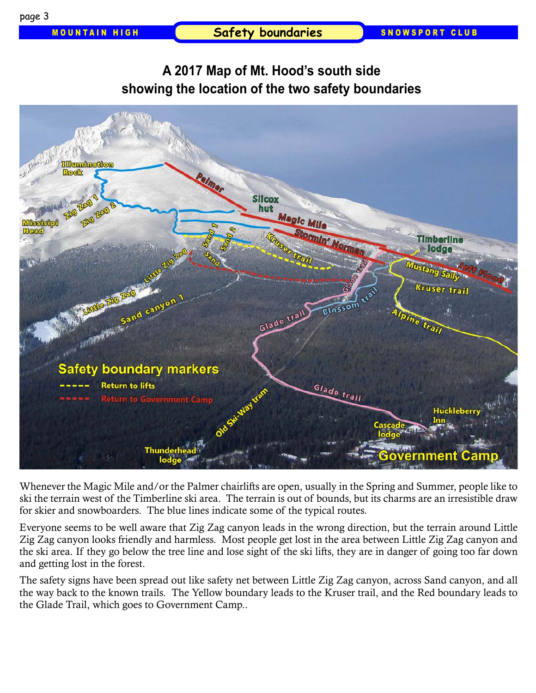MOUNTAIN HIGH **Safety boundaries** SNOWSPORT CLUB

## **A 2017 Map of Mt. Hood's south side showing the location of the two safety boundaries**



Whenever the Magic Mile and/or the Palmer chairlifts are open, usually in the Spring and Summer, people like to ski the terrain west of the Timberline ski area. The terrain is out of bounds, but its charms are an irresistible draw for skier and snowboarders. The blue lines indicate some of the typical routes.

Everyone seems to be well aware that Zig Zag canyon leads in the wrong direction, but the terrain around Little Zig Zag canyon looks friendly and harmless. Most people get lost in the area between Little Zig Zag canyon and the ski area. If they go below the tree line and lose sight of the ski lifts, they are in danger of going too far down and getting lost in the forest.

The safety signs have been spread out like safety net between Little Zig Zag canyon, across Sand canyon, and all the way back to the known trails. The Yellow boundary leads to the Kruser trail, and the Red boundary leads to the Glade Trail, which goes to Government Camp..